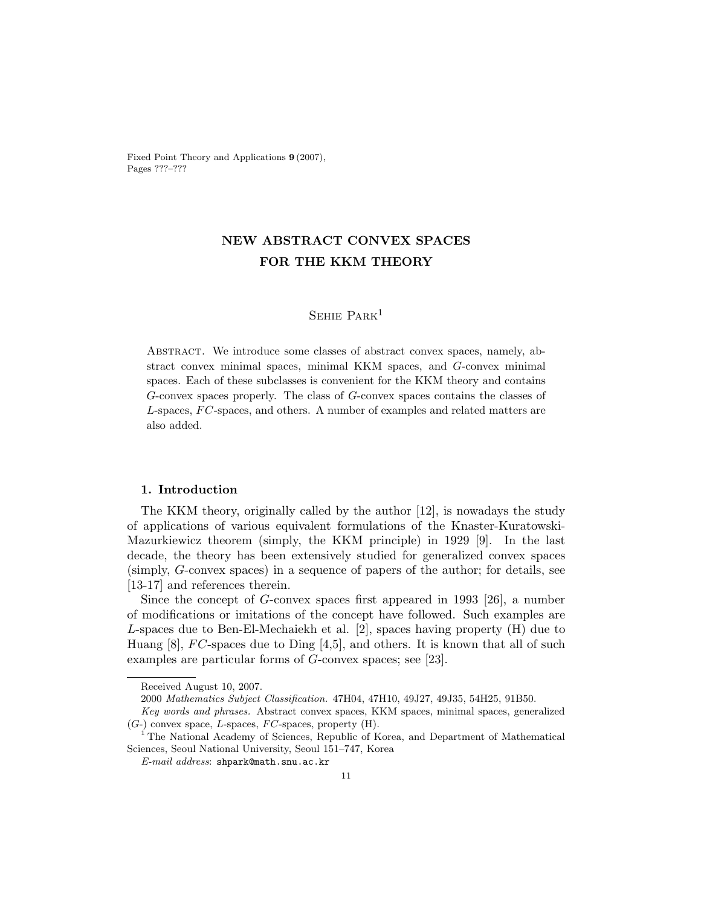Fixed Point Theory and Applications 9 (2007), Pages ???–???

# NEW ABSTRACT CONVEX SPACES FOR THE KKM THEORY

# SEHIE PARK<sup>1</sup>

Abstract. We introduce some classes of abstract convex spaces, namely, abstract convex minimal spaces, minimal KKM spaces, and G-convex minimal spaces. Each of these subclasses is convenient for the KKM theory and contains G-convex spaces properly. The class of G-convex spaces contains the classes of L-spaces, FC-spaces, and others. A number of examples and related matters are also added.

# 1. Introduction

The KKM theory, originally called by the author [12], is nowadays the study of applications of various equivalent formulations of the Knaster-Kuratowski-Mazurkiewicz theorem (simply, the KKM principle) in 1929 [9]. In the last decade, the theory has been extensively studied for generalized convex spaces (simply, G-convex spaces) in a sequence of papers of the author; for details, see [13-17] and references therein.

Since the concept of G-convex spaces first appeared in 1993 [26], a number of modifications or imitations of the concept have followed. Such examples are L-spaces due to Ben-El-Mechaiekh et al. [2], spaces having property (H) due to Huang [8],  $FC$ -spaces due to Ding [4,5], and others. It is known that all of such examples are particular forms of G-convex spaces; see [23].

Received August 10, 2007.

<sup>2000</sup> Mathematics Subject Classification. 47H04, 47H10, 49J27, 49J35, 54H25, 91B50.

Key words and phrases. Abstract convex spaces, KKM spaces, minimal spaces, generalized  $(G-)$  convex space, L-spaces, FC-spaces, property  $(H)$ .

<sup>&</sup>lt;sup>1</sup> The National Academy of Sciences, Republic of Korea, and Department of Mathematical Sciences, Seoul National University, Seoul 151–747, Korea

E-mail address: shpark@math.snu.ac.kr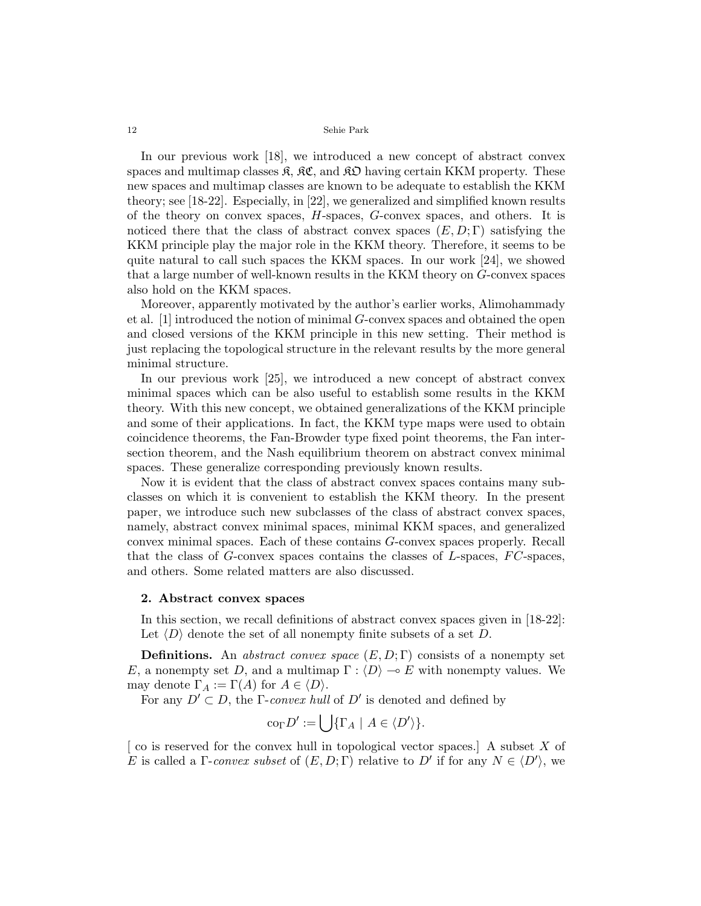In our previous work [18], we introduced a new concept of abstract convex spaces and multimap classes  $\mathfrak{K}, \mathfrak{K}\mathfrak{C}$ , and  $\mathfrak{K}\mathfrak{D}$  having certain KKM property. These new spaces and multimap classes are known to be adequate to establish the KKM theory; see [18-22]. Especially, in [22], we generalized and simplified known results of the theory on convex spaces,  $H$ -spaces,  $G$ -convex spaces, and others. It is noticed there that the class of abstract convex spaces  $(E, D; \Gamma)$  satisfying the KKM principle play the major role in the KKM theory. Therefore, it seems to be quite natural to call such spaces the KKM spaces. In our work [24], we showed that a large number of well-known results in the KKM theory on G-convex spaces also hold on the KKM spaces.

Moreover, apparently motivated by the author's earlier works, Alimohammady et al. [1] introduced the notion of minimal G-convex spaces and obtained the open and closed versions of the KKM principle in this new setting. Their method is just replacing the topological structure in the relevant results by the more general minimal structure.

In our previous work [25], we introduced a new concept of abstract convex minimal spaces which can be also useful to establish some results in the KKM theory. With this new concept, we obtained generalizations of the KKM principle and some of their applications. In fact, the KKM type maps were used to obtain coincidence theorems, the Fan-Browder type fixed point theorems, the Fan intersection theorem, and the Nash equilibrium theorem on abstract convex minimal spaces. These generalize corresponding previously known results.

Now it is evident that the class of abstract convex spaces contains many subclasses on which it is convenient to establish the KKM theory. In the present paper, we introduce such new subclasses of the class of abstract convex spaces, namely, abstract convex minimal spaces, minimal KKM spaces, and generalized convex minimal spaces. Each of these contains G-convex spaces properly. Recall that the class of  $G$ -convex spaces contains the classes of  $L$ -spaces,  $FC$ -spaces, and others. Some related matters are also discussed.

# 2. Abstract convex spaces

In this section, we recall definitions of abstract convex spaces given in [18-22]: Let  $\langle D \rangle$  denote the set of all nonempty finite subsets of a set D.

**Definitions.** An abstract convex space  $(E, D; \Gamma)$  consists of a nonempty set E, a nonempty set D, and a multimap  $\Gamma : \langle D \rangle \to E$  with nonempty values. We may denote  $\Gamma_A := \Gamma(A)$  for  $A \in \langle D \rangle$ .

For any  $D' \subset D$ , the *Γ-convex hull* of  $D'$  is denoted and defined by

$$
\operatorname{co}_{\Gamma} D' := \bigcup \{ \Gamma_A \mid A \in \langle D' \rangle \}.
$$

[ co is reserved for the convex hull in topological vector spaces.] A subset X of E is called a  $\Gamma$ -convex subset of  $(E, D; \Gamma)$  relative to D' if for any  $N \in \langle D' \rangle$ , we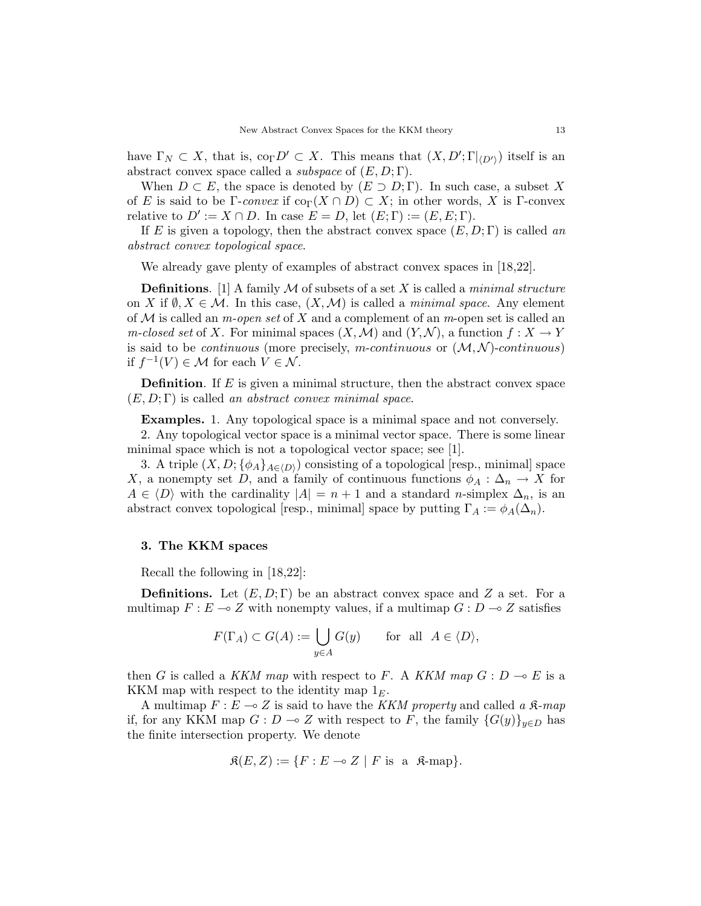have  $\Gamma_N \subset X$ , that is,  $\text{co}_{\Gamma} D' \subset X$ . This means that  $(X, D'; \Gamma|_{\langle D' \rangle})$  itself is an abstract convex space called a *subspace* of  $(E, D; \Gamma)$ .

When  $D \subset E$ , the space is denoted by  $(E \supset D; \Gamma)$ . In such case, a subset X of E is said to be Γ-convex if  $\text{co}_{\Gamma}(X \cap D) \subset X$ ; in other words, X is Γ-convex relative to  $D' := X \cap D$ . In case  $E = D$ , let  $(E; \Gamma) := (E, E; \Gamma)$ .

If E is given a topology, then the abstract convex space  $(E, D; \Gamma)$  is called an abstract convex topological space.

We already gave plenty of examples of abstract convex spaces in [18,22].

**Definitions.** [1] A family  $M$  of subsets of a set  $X$  is called a *minimal structure* on X if  $\emptyset, X \in \mathcal{M}$ . In this case,  $(X, \mathcal{M})$  is called a *minimal space*. Any element of  $M$  is called an *m-open set* of X and a complement of an *m*-open set is called an m-closed set of X. For minimal spaces  $(X, \mathcal{M})$  and  $(Y, \mathcal{N})$ , a function  $f : X \to Y$ is said to be *continuous* (more precisely, m-continuous or  $(M, N)$ -continuous) if  $f^{-1}(V) \in \mathcal{M}$  for each  $V \in \mathcal{N}$ .

**Definition.** If  $E$  is given a minimal structure, then the abstract convex space  $(E, D; \Gamma)$  is called an abstract convex minimal space.

Examples. 1. Any topological space is a minimal space and not conversely.

2. Any topological vector space is a minimal vector space. There is some linear minimal space which is not a topological vector space; see [1].

3. A triple  $(X, D; {\phi_A}_{A\in(D)})$  consisting of a topological [resp., minimal] space X, a nonempty set D, and a family of continuous functions  $\phi_A : \Delta_n \to X$  for  $A \in \langle D \rangle$  with the cardinality  $|A| = n + 1$  and a standard n-simplex  $\Delta_n$ , is an abstract convex topological [resp., minimal] space by putting  $\Gamma_A := \phi_A(\Delta_n)$ .

### 3. The KKM spaces

Recall the following in [18,22]:

**Definitions.** Let  $(E, D; \Gamma)$  be an abstract convex space and Z a set. For a multimap  $F : E \to Z$  with nonempty values, if a multimap  $G : D \to Z$  satisfies

$$
F(\Gamma_A) \subset G(A) := \bigcup_{y \in A} G(y) \quad \text{for all } A \in \langle D \rangle,
$$

then G is called a KKM map with respect to F. A KKM map  $G: D \to E$  is a KKM map with respect to the identity map  $1<sub>E</sub>$ .

A multimap  $F: E \longrightarrow Z$  is said to have the *KKM property* and called a  $\mathcal{R}$ -map if, for any KKM map  $G : D \multimap Z$  with respect to F, the family  ${G(y)}_{y\in D}$  has the finite intersection property. We denote

$$
\mathfrak{K}(E, Z) := \{ F : E \multimap Z \mid F \text{ is a } \mathfrak{K}\text{-map} \}.
$$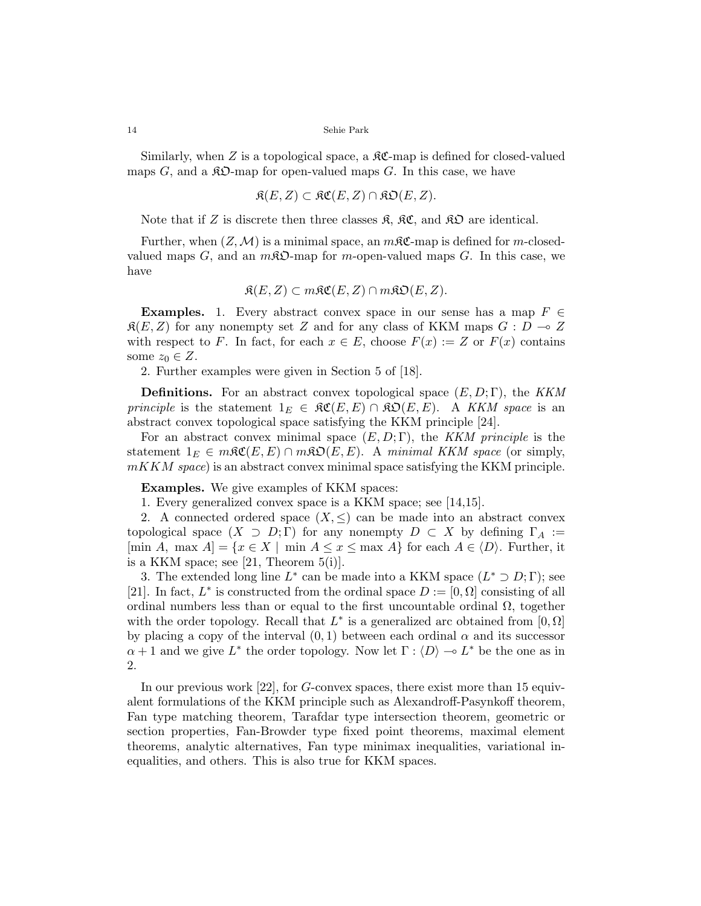Similarly, when Z is a topological space, a  $\mathcal{RC}$ -map is defined for closed-valued maps G, and a  $\hat{A}D$ -map for open-valued maps G. In this case, we have

$$
\mathfrak{K}(E,Z) \subset \mathfrak{KC}(E,Z) \cap \mathfrak{KD}(E,Z).
$$

Note that if Z is discrete then three classes  $\mathfrak{K}, \mathfrak{K} \mathfrak{C},$  and  $\mathfrak{K} \mathfrak{D}$  are identical.

Further, when  $(Z, \mathcal{M})$  is a minimal space, an  $m\mathfrak{K}$ -map is defined for m-closedvalued maps  $G$ , and an  $m\mathcal{R}\mathfrak{O}$ -map for m-open-valued maps  $G$ . In this case, we have

$$
\mathfrak{K}(E, Z) \subset m\mathfrak{K}\mathfrak{C}(E, Z) \cap m\mathfrak{K}\mathfrak{O}(E, Z).
$$

**Examples.** 1. Every abstract convex space in our sense has a map  $F \in$  $\mathfrak{K}(E, Z)$  for any nonempty set Z and for any class of KKM maps  $G : D \to Z$ with respect to F. In fact, for each  $x \in E$ , choose  $F(x) := Z$  or  $F(x)$  contains some  $z_0 \in Z$ .

2. Further examples were given in Section 5 of [18].

**Definitions.** For an abstract convex topological space  $(E, D; \Gamma)$ , the KKM principle is the statement  $1_E \in \Re \mathfrak{C}(E, E) \cap \Re \mathfrak{D}(E, E)$ . A KKM space is an abstract convex topological space satisfying the KKM principle [24].

For an abstract convex minimal space  $(E, D; \Gamma)$ , the KKM principle is the statement  $1_E \in m\mathfrak{RC}(E, E) \cap m\mathfrak{RO}(E, E)$ . A minimal KKM space (or simply,  $mKKM$  space) is an abstract convex minimal space satisfying the KKM principle.

Examples. We give examples of KKM spaces:

1. Every generalized convex space is a KKM space; see [14,15].

2. A connected ordered space  $(X, \leq)$  can be made into an abstract convex topological space  $(X \supset D; \Gamma)$  for any nonempty  $D \subset X$  by defining  $\Gamma_A :=$ [min A, max  $A$ ] = { $x \in X$  | min  $A \le x \le \max A$ } for each  $A \in \langle D \rangle$ . Further, it is a KKM space; see [21, Theorem  $5(i)$ ].

3. The extended long line  $L^*$  can be made into a KKM space  $(L^* \supset D; \Gamma)$ ; see [21]. In fact,  $L^*$  is constructed from the ordinal space  $D := [0, \Omega]$  consisting of all ordinal numbers less than or equal to the first uncountable ordinal  $\Omega$ , together with the order topology. Recall that  $L^*$  is a generalized arc obtained from  $[0, \Omega]$ by placing a copy of the interval  $(0, 1)$  between each ordinal  $\alpha$  and its successor  $\alpha + 1$  and we give  $L^*$  the order topology. Now let  $\Gamma : \langle D \rangle \longrightarrow L^*$  be the one as in 2.

In our previous work [22], for G-convex spaces, there exist more than 15 equivalent formulations of the KKM principle such as Alexandroff-Pasynkoff theorem, Fan type matching theorem, Tarafdar type intersection theorem, geometric or section properties, Fan-Browder type fixed point theorems, maximal element theorems, analytic alternatives, Fan type minimax inequalities, variational inequalities, and others. This is also true for KKM spaces.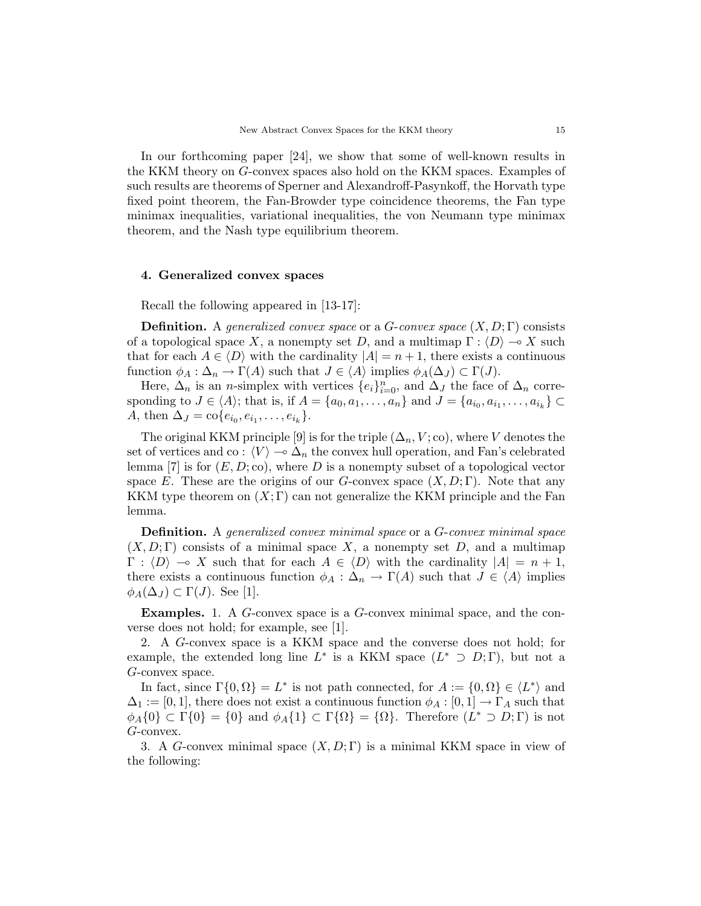In our forthcoming paper [24], we show that some of well-known results in the KKM theory on G-convex spaces also hold on the KKM spaces. Examples of such results are theorems of Sperner and Alexandroff-Pasynkoff, the Horvath type fixed point theorem, the Fan-Browder type coincidence theorems, the Fan type minimax inequalities, variational inequalities, the von Neumann type minimax theorem, and the Nash type equilibrium theorem.

### 4. Generalized convex spaces

Recall the following appeared in [13-17]:

**Definition.** A generalized convex space or a G-convex space  $(X, D; \Gamma)$  consists of a topological space X, a nonempty set D, and a multimap  $\Gamma : \langle D \rangle \longrightarrow X$  such that for each  $A \in \langle D \rangle$  with the cardinality  $|A| = n + 1$ , there exists a continuous function  $\phi_A : \Delta_n \to \Gamma(A)$  such that  $J \in \langle A \rangle$  implies  $\phi_A(\Delta_J) \subset \Gamma(J)$ .

Here,  $\Delta_n$  is an *n*-simplex with vertices  $\{e_i\}_{i=0}^n$ , and  $\Delta_j$  the face of  $\Delta_n$  corresponding to  $J \in \langle A \rangle$ ; that is, if  $A = \{a_0, a_1, \ldots, a_n\}$  and  $J = \{a_{i_0}, a_{i_1}, \ldots, a_{i_k}\} \subset$ A, then  $\Delta_J = \text{co}\{e_{i_0}, e_{i_1}, \dots, e_{i_k}\}.$ 

The original KKM principle [9] is for the triple  $(\Delta_n, V; \text{co})$ , where V denotes the set of vertices and co :  $\langle V \rangle \rightarrow \Delta_n$  the convex hull operation, and Fan's celebrated lemma [7] is for  $(E, D; \text{co})$ , where D is a nonempty subset of a topological vector space E. These are the origins of our G-convex space  $(X, D; \Gamma)$ . Note that any KKM type theorem on  $(X; \Gamma)$  can not generalize the KKM principle and the Fan lemma.

Definition. A generalized convex minimal space or a G-convex minimal space  $(X, D; \Gamma)$  consists of a minimal space X, a nonempty set D, and a multimap  $\Gamma : \langle D \rangle \to X$  such that for each  $A \in \langle D \rangle$  with the cardinality  $|A| = n + 1$ , there exists a continuous function  $\phi_A : \Delta_n \to \Gamma(A)$  such that  $J \in \langle A \rangle$  implies  $\phi_A(\Delta_J) \subset \Gamma(J)$ . See [1].

Examples. 1. A G-convex space is a G-convex minimal space, and the converse does not hold; for example, see [1].

2. A G-convex space is a KKM space and the converse does not hold; for example, the extended long line  $L^*$  is a KKM space  $(L^* \supset D; \Gamma)$ , but not a G-convex space.

In fact, since  $\Gamma\{0,\Omega\} = L^*$  is not path connected, for  $A := \{0,\Omega\} \in \langle L^* \rangle$  and  $\Delta_1 := [0, 1]$ , there does not exist a continuous function  $\phi_A : [0, 1] \to \Gamma_A$  such that  $\phi_A\{0\} \subset \Gamma\{0\} = \{0\}$  and  $\phi_A\{1\} \subset \Gamma\{\Omega\} = \{\Omega\}.$  Therefore  $(L^* \supset D; \Gamma)$  is not G-convex.

3. A G-convex minimal space  $(X, D; \Gamma)$  is a minimal KKM space in view of the following: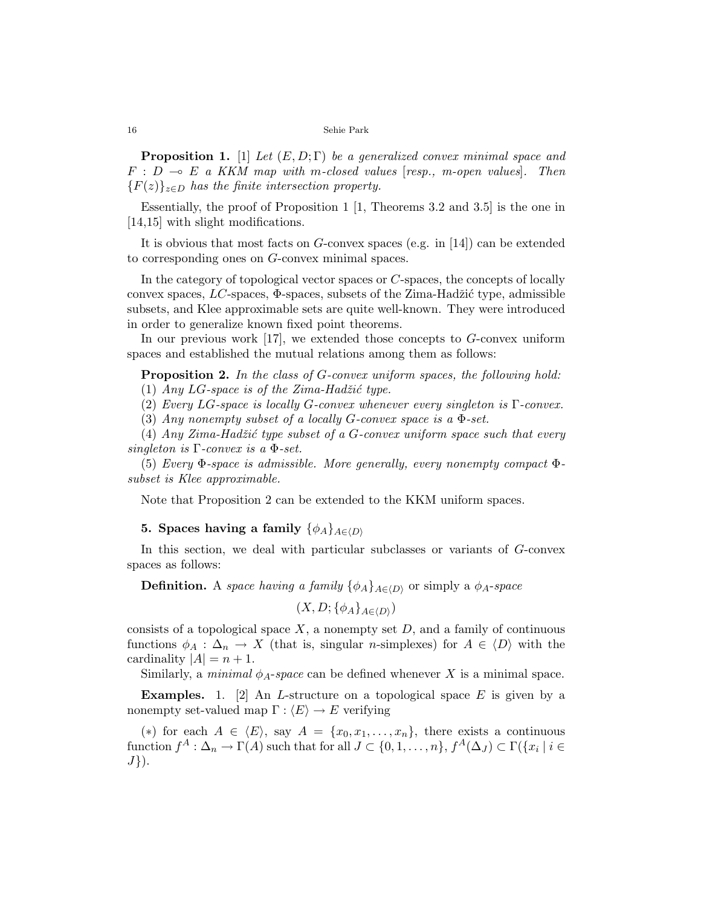**Proposition 1.** [1] Let  $(E, D; \Gamma)$  be a generalized convex minimal space and  $F : D \multimap E$  a KKM map with m-closed values [resp., m-open values]. Then  ${F(z)}_{z\in D}$  has the finite intersection property.

Essentially, the proof of Proposition 1 [1, Theorems 3.2 and 3.5] is the one in [14,15] with slight modifications.

It is obvious that most facts on  $G$ -convex spaces (e.g. in [14]) can be extended to corresponding ones on G-convex minimal spaces.

In the category of topological vector spaces or C-spaces, the concepts of locally convex spaces,  $LC$ -spaces,  $\Phi$ -spaces, subsets of the Zima-Hadžić type, admissible subsets, and Klee approximable sets are quite well-known. They were introduced in order to generalize known fixed point theorems.

In our previous work [17], we extended those concepts to G-convex uniform spaces and established the mutual relations among them as follows:

**Proposition 2.** In the class of G-convex uniform spaces, the following hold: (1) Any  $LG$ -space is of the Zima-Hadžić type.

(2) Every LG-space is locally G-convex whenever every singleton is  $\Gamma$ -convex.

(3) Any nonempty subset of a locally G-convex space is a  $\Phi$ -set.

(4) Any Zima-Hadžić type subset of a  $G$ -convex uniform space such that every singleton is  $\Gamma$ -convex is a  $\Phi$ -set.

(5) Every  $\Phi$ -space is admissible. More generally, every nonempty compact  $\Phi$ subset is Klee approximable.

Note that Proposition 2 can be extended to the KKM uniform spaces.

# 5. Spaces having a family  $\{\phi_A\}_{A \in \langle D \rangle}$

In this section, we deal with particular subclasses or variants of G-convex spaces as follows:

**Definition.** A space having a family  $\{\phi_A\}_{A\in(D)}$  or simply a  $\phi_A$ -space

 $(X, D; {\phi_A}_{A \in \langle D \rangle})$ 

consists of a topological space  $X$ , a nonempty set  $D$ , and a family of continuous functions  $\phi_A : \Delta_n \to X$  (that is, singular *n*-simplexes) for  $A \in \langle D \rangle$  with the cardinality  $|A| = n + 1$ .

Similarly, a *minimal*  $\phi_A$ -space can be defined whenever X is a minimal space.

**Examples.** 1. [2] An *L*-structure on a topological space  $E$  is given by a nonempty set-valued map  $\Gamma : \langle E \rangle \to E$  verifying

(\*) for each  $A \in \langle E \rangle$ , say  $A = \{x_0, x_1, \ldots, x_n\}$ , there exists a continuous  $\text{function } f^A: \Delta_n \to \Gamma(A) \text{ such that for all } J \subset \{0,1,\ldots,n\}, f^A(\Delta_J) \subset \Gamma(\{x_i \mid i \in I\})$  $J\}$ ).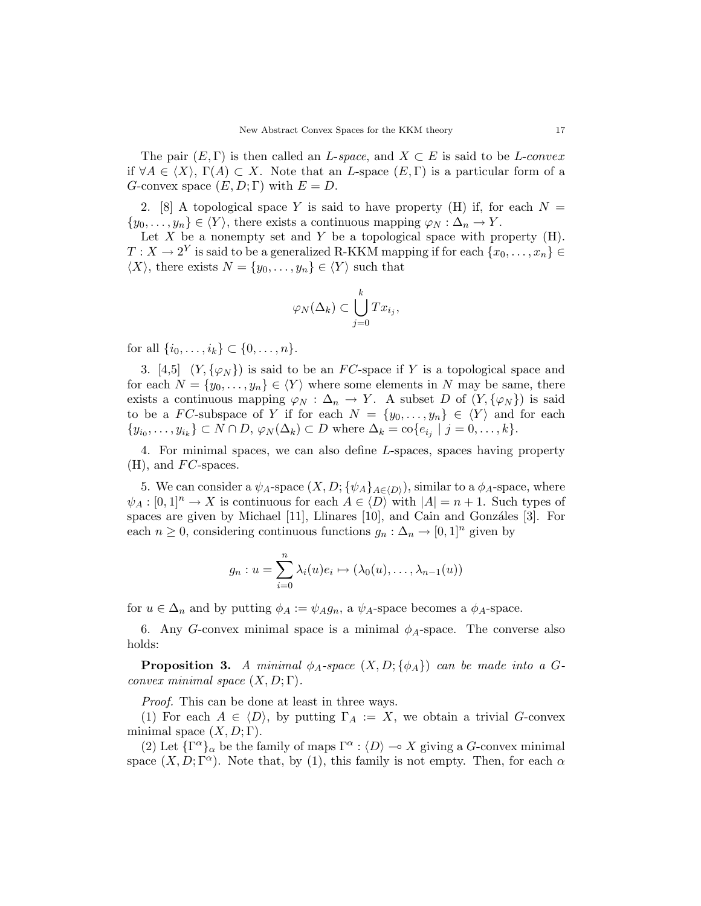The pair  $(E, \Gamma)$  is then called an L-space, and  $X \subset E$  is said to be L-convex if  $\forall A \in \langle X \rangle$ ,  $\Gamma(A) \subset X$ . Note that an L-space  $(E, \Gamma)$  is a particular form of a G-convex space  $(E, D; \Gamma)$  with  $E = D$ .

2. [8] A topological space Y is said to have property (H) if, for each  $N =$  $\{y_0, \ldots, y_n\} \in \langle Y \rangle$ , there exists a continuous mapping  $\varphi_N : \Delta_n \to Y$ .

Let  $X$  be a nonempty set and  $Y$  be a topological space with property  $(H)$ .  $T: X \to 2^Y$  is said to be a generalized R-KKM mapping if for each  $\{x_0, \ldots, x_n\} \in$  $\langle X \rangle$ , there exists  $N = \{y_0, \ldots, y_n\} \in \langle Y \rangle$  such that

$$
\varphi_N(\Delta_k) \subset \bigcup_{j=0}^k Tx_{i_j},
$$

for all  $\{i_0, \ldots, i_k\} \subset \{0, \ldots, n\}.$ 

3. [4,5]  $(Y, {\varphi_N})$  is said to be an FC-space if Y is a topological space and for each  $N = \{y_0, \ldots, y_n\} \in \langle Y \rangle$  where some elements in N may be same, there exists a continuous mapping  $\varphi_N : \Delta_n \to Y$ . A subset D of  $(Y, {\varphi_N})$  is said to be a FC-subspace of Y if for each  $N = \{y_0, \ldots, y_n\} \in \langle Y \rangle$  and for each  $\{y_{i_0}, \ldots, y_{i_k}\} \subset N \cap D, \varphi_N(\Delta_k) \subset D$  where  $\Delta_k = \text{co}\{e_{i_j} \mid j = 0, \ldots, k\}.$ 

4. For minimal spaces, we can also define L-spaces, spaces having property  $(H)$ , and  $FC$ -spaces.

5. We can consider a  $\psi_A$ -space  $(X, D; {\psi_A}_{A\in\langle D \rangle})$ , similar to a  $\phi_A$ -space, where  $\psi_A : [0,1]^n \to X$  is continuous for each  $A \in \langle D \rangle$  with  $|A| = n + 1$ . Such types of spaces are given by Michael  $[11]$ , Llinares  $[10]$ , and Cain and Gonzáles  $[3]$ . For each  $n \geq 0$ , considering continuous functions  $g_n : \Delta_n \to [0,1]^n$  given by

$$
g_n: u = \sum_{i=0}^n \lambda_i(u)e_i \mapsto (\lambda_0(u), \dots, \lambda_{n-1}(u))
$$

for  $u \in \Delta_n$  and by putting  $\phi_A := \psi_A g_n$ , a  $\psi_A$ -space becomes a  $\phi_A$ -space.

6. Any G-convex minimal space is a minimal  $\phi_A$ -space. The converse also holds:

**Proposition 3.** A minimal  $\phi_A$ -space  $(X, D; {\phi_A})$  can be made into a Gconvex minimal space  $(X, D; \Gamma)$ .

Proof. This can be done at least in three ways.

(1) For each  $A \in \langle D \rangle$ , by putting  $\Gamma_A := X$ , we obtain a trivial G-convex minimal space  $(X, D; \Gamma)$ .

(2) Let  $\{\Gamma^{\alpha}\}_\alpha$  be the family of maps  $\Gamma^{\alpha}$  :  $\langle D \rangle \sim X$  giving a G-convex minimal space  $(X, D; \Gamma^{\alpha})$ . Note that, by (1), this family is not empty. Then, for each  $\alpha$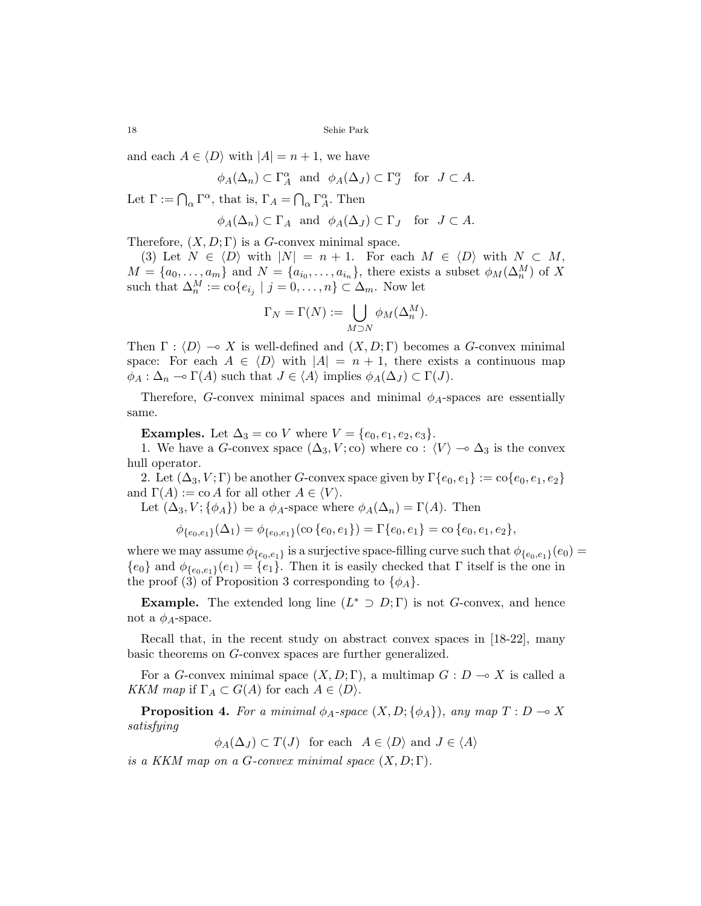and each  $A \in \langle D \rangle$  with  $|A| = n + 1$ , we have

$$
\phi_A(\Delta_n) \subset \Gamma_A^{\alpha}
$$
 and  $\phi_A(\Delta_J) \subset \Gamma_J^{\alpha}$  for  $J \subset A$ .

Let  $\Gamma := \bigcap_{\alpha} \Gamma^{\alpha}$ , that is,  $\Gamma_A = \bigcap$  $_{\alpha}$   $\Gamma^{\alpha}_{A}$ . Then

$$
\phi_A(\Delta_n) \subset \Gamma_A
$$
 and  $\phi_A(\Delta_J) \subset \Gamma_J$  for  $J \subset A$ .

Therefore,  $(X, D; \Gamma)$  is a G-convex minimal space.

(3) Let  $N \in \langle D \rangle$  with  $|N| = n + 1$ . For each  $M \in \langle D \rangle$  with  $N \subset M$ ,  $M = \{a_0, \ldots, a_m\}$  and  $N = \{a_{i_0}, \ldots, a_{i_n}\}\$ , there exists a subset  $\phi_M(\Delta_n^M)$  of X such that  $\Delta_n^M := \text{co}\{e_{i_j} \mid j = 0, \ldots, n\} \subset \Delta_m$ . Now let

$$
\Gamma_N = \Gamma(N) := \bigcup_{M \supset N} \phi_M(\Delta_n^M).
$$

Then  $\Gamma : \langle D \rangle \to X$  is well-defined and  $(X, D; \Gamma)$  becomes a G-convex minimal space: For each  $A \in \langle D \rangle$  with  $|A| = n + 1$ , there exists a continuous map  $\phi_A : \Delta_n \multimap \Gamma(A)$  such that  $J \in \langle A \rangle$  implies  $\phi_A(\Delta_J) \subset \Gamma(J)$ .

Therefore, G-convex minimal spaces and minimal  $\phi_A$ -spaces are essentially same.

**Examples.** Let  $\Delta_3 = \text{co } V$  where  $V = \{e_0, e_1, e_2, e_3\}.$ 

1. We have a G-convex space  $(\Delta_3, V; \text{co})$  where co :  $\langle V \rangle \to \Delta_3$  is the convex hull operator.

2. Let  $(\Delta_3, V; \Gamma)$  be another G-convex space given by  $\Gamma\{e_0, e_1\} := \text{co}\{e_0, e_1, e_2\}$ and  $\Gamma(A) := \text{co } A$  for all other  $A \in \langle V \rangle$ .

Let  $(\Delta_3, V; {\phi_A})$  be a  $\phi_A$ -space where  $\phi_A(\Delta_n) = \Gamma(A)$ . Then

$$
\phi_{\{e_0,e_1\}}(\Delta_1) = \phi_{\{e_0,e_1\}}(\text{co}\{e_0,e_1\}) = \Gamma\{e_0,e_1\} = \text{co}\{e_0,e_1,e_2\},\
$$

where we may assume  $\phi_{e_0,e_1}$  is a surjective space-filling curve such that  $\phi_{e_0,e_1}(e_0)$  =  ${e_0}$  and  $\phi_{\{e_0,e_1\}}(e_1)={e_1}.$  Then it is easily checked that  $\Gamma$  itself is the one in the proof (3) of Proposition 3 corresponding to  $\{\phi_A\}.$ 

**Example.** The extended long line  $(L^* \supset D; \Gamma)$  is not G-convex, and hence not a  $\phi_A$ -space.

Recall that, in the recent study on abstract convex spaces in [18-22], many basic theorems on G-convex spaces are further generalized.

For a G-convex minimal space  $(X, D; \Gamma)$ , a multimap  $G: D \to X$  is called a KKM map if  $\Gamma_A \subset G(A)$  for each  $A \in \langle D \rangle$ .

**Proposition 4.** For a minimal  $\phi_A$ -space  $(X, D; {\phi_A})$ , any map  $T : D \to X$ satisfying

 $\phi_A(\Delta_J) \subset T(J)$  for each  $A \in \langle D \rangle$  and  $J \in \langle A \rangle$ 

is a KKM map on a G-convex minimal space  $(X, D; \Gamma)$ .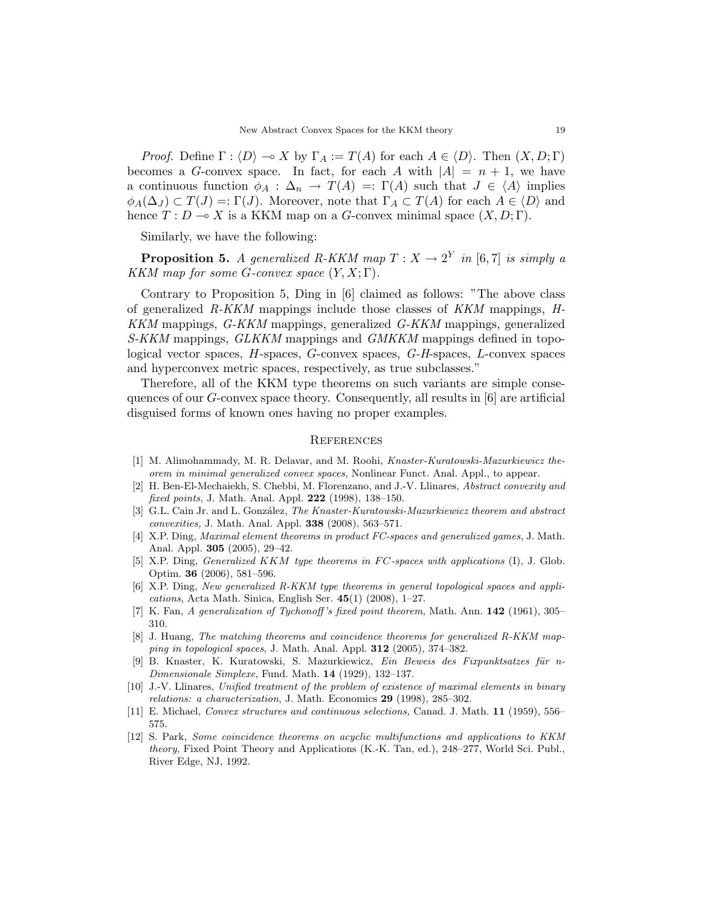*Proof.* Define  $\Gamma : \langle D \rangle \to X$  by  $\Gamma_A := T(A)$  for each  $A \in \langle D \rangle$ . Then  $(X, D; \Gamma)$ becomes a G-convex space. In fact, for each A with  $|A| = n + 1$ , we have a continuous function  $\phi_A : \Delta_n \to T(A) =: \Gamma(A)$  such that  $J \in \langle A \rangle$  implies  $\phi_A(\Delta_J) \subset T(J) =: \Gamma(J)$ . Moreover, note that  $\Gamma_A \subset T(A)$  for each  $A \in \langle D \rangle$  and hence  $T: D \to X$  is a KKM map on a G-convex minimal space  $(X, D; \Gamma)$ .

Similarly, we have the following:

**Proposition 5.** A generalized R-KKM map  $T : X \to 2^Y$  in [6,7] is simply a KKM map for some G-convex space  $(Y, X; \Gamma)$ .

Contrary to Proposition 5, Ding in [6] claimed as follows: "The above class of generalized  $R-KKM$  mappings include those classes of  $KKM$  mappings,  $H$ -KKM mappings, G-KKM mappings, generalized G-KKM mappings, generalized S-KKM mappings, GLKKM mappings and GMKKM mappings defined in topological vector spaces, H-spaces, G-convex spaces, G-H-spaces, L-convex spaces and hyperconvex metric spaces, respectively, as true subclasses."

Therefore, all of the KKM type theorems on such variants are simple consequences of our  $G$ -convex space theory. Consequently, all results in  $[6]$  are artificial disguised forms of known ones having no proper examples.

# **REFERENCES**

- [1] M. Alimohammady, M. R. Delavar, and M. Roohi, Knaster-Kuratowski-Mazurkiewicz theorem in minimal generalized convex spaces, Nonlinear Funct. Anal. Appl., to appear.
- [2] H. Ben-El-Mechaiekh, S. Chebbi, M. Florenzano, and J.-V. Llinares, Abstract convexity and fixed points, J. Math. Anal. Appl. 222 (1998), 138–150.
- [3] G.L. Cain Jr. and L. González, The Knaster-Kuratowski-Mazurkiewicz theorem and abstract convexities, J. Math. Anal. Appl. 338 (2008), 563–571.
- [4] X.P. Ding, Maximal element theorems in product FC-spaces and generalized games, J. Math. Anal. Appl. 305 (2005), 29–42.
- [5] X.P. Ding, *Generalized KKM type theorems in FC-spaces with applications* (I), J. Glob. Optim. 36 (2006), 581–596.
- [6] X.P. Ding, New generalized R-KKM type theorems in general topological spaces and appli $cations, Acta Math. Sinica, English Ser. 45(1) (2008), 1-27.$
- [7] K. Fan, A generalization of Tychonoff's fixed point theorem, Math. Ann. 142 (1961), 305– 310.
- [8] J. Huang, The matching theorems and coincidence theorems for generalized R-KKM mapping in topological spaces, J. Math. Anal. Appl. 312 (2005), 374–382.
- [9] B. Knaster, K. Kuratowski, S. Mazurkiewicz, Ein Beweis des Fixpunktsatzes für n-Dimensionale Simplexe, Fund. Math. 14 (1929), 132–137.
- [10] J.-V. Llinares, Unified treatment of the problem of existence of maximal elements in binary relations: a characterization, J. Math. Economics 29 (1998), 285–302.
- [11] E. Michael, Convex structures and continuous selections, Canad. J. Math. 11 (1959), 556– 575.
- [12] S. Park, Some coincidence theorems on acyclic multifunctions and applications to KKM theory, Fixed Point Theory and Applications (K.-K. Tan, ed.), 248–277, World Sci. Publ., River Edge, NJ, 1992.